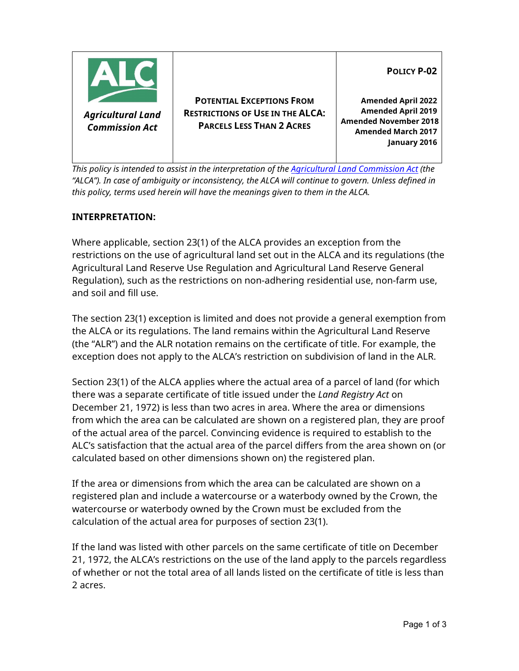

*This policy is intended to assist in the interpretation of th[e Agricultural Land Commission Act](http://www.bclaws.ca/Recon/document/ID/freeside/00_02036_01) (the "ALCA"). In case of ambiguity or inconsistency, the ALCA will continue to govern. Unless defined in this policy, terms used herein will have the meanings given to them in the ALCA.* 

## **INTERPRETATION:**

Where applicable, section 23(1) of the ALCA provides an exception from the restrictions on the use of agricultural land set out in the ALCA and its regulations (the Agricultural Land Reserve Use Regulation and Agricultural Land Reserve General Regulation), such as the restrictions on non-adhering residential use, non-farm use, and soil and fill use.

The section 23(1) exception is limited and does not provide a general exemption from the ALCA or its regulations. The land remains within the Agricultural Land Reserve (the "ALR") and the ALR notation remains on the certificate of title. For example, the exception does not apply to the ALCA's restriction on subdivision of land in the ALR.

Section 23(1) of the ALCA applies where the actual area of a parcel of land (for which there was a separate certificate of title issued under the *Land Registry Act* on December 21, 1972) is less than two acres in area. Where the area or dimensions from which the area can be calculated are shown on a registered plan, they are proof of the actual area of the parcel. Convincing evidence is required to establish to the ALC's satisfaction that the actual area of the parcel differs from the area shown on (or calculated based on other dimensions shown on) the registered plan.

If the area or dimensions from which the area can be calculated are shown on a registered plan and include a watercourse or a waterbody owned by the Crown, the watercourse or waterbody owned by the Crown must be excluded from the calculation of the actual area for purposes of section 23(1).

If the land was listed with other parcels on the same certificate of title on December 21, 1972, the ALCA's restrictions on the use of the land apply to the parcels regardless of whether or not the total area of all lands listed on the certificate of title is less than 2 acres.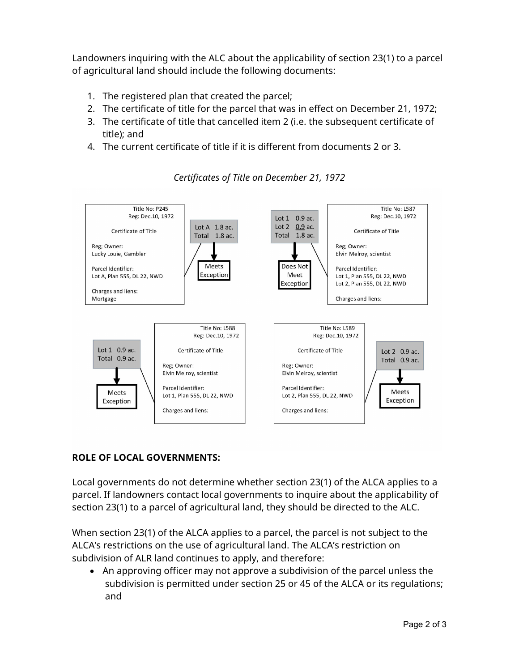Landowners inquiring with the ALC about the applicability of section 23(1) to a parcel of agricultural land should include the following documents:

- 1. The registered plan that created the parcel;
- 2. The certificate of title for the parcel that was in effect on December 21, 1972;
- 3. The certificate of title that cancelled item 2 (i.e. the subsequent certificate of title); and
- 4. The current certificate of title if it is different from documents 2 or 3.



*Certificates of Title on December 21, 1972*

## **ROLE OF LOCAL GOVERNMENTS:**

Local governments do not determine whether section 23(1) of the ALCA applies to a parcel. If landowners contact local governments to inquire about the applicability of section 23(1) to a parcel of agricultural land, they should be directed to the ALC.

When section 23(1) of the ALCA applies to a parcel, the parcel is not subject to the ALCA's restrictions on the use of agricultural land. The ALCA's restriction on subdivision of ALR land continues to apply, and therefore:

• An approving officer may not approve a subdivision of the parcel unless the subdivision is permitted under section 25 or 45 of the ALCA or its regulations; and